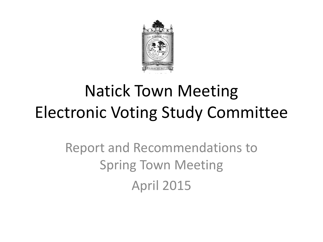

### Natick Town Meeting Electronic Voting Study Committee

Report and Recommendations to Spring Town Meeting April 2015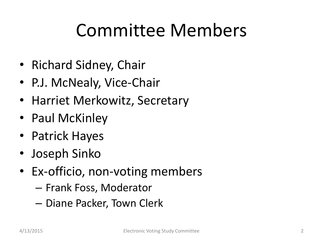## Committee Members

- Richard Sidney, Chair
- P.J. McNealy, Vice-Chair
- Harriet Merkowitz, Secretary
- Paul McKinley
- Patrick Hayes
- Joseph Sinko
- Ex-officio, non-voting members
	- Frank Foss, Moderator
	- Diane Packer, Town Clerk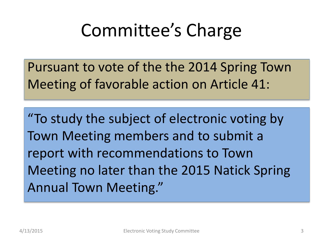# Committee's Charge

Pursuant to vote of the the 2014 Spring Town Meeting of favorable action on Article 41:

"To study the subject of electronic voting by Town Meeting members and to submit a report with recommendations to Town Meeting no later than the 2015 Natick Spring Annual Town Meeting."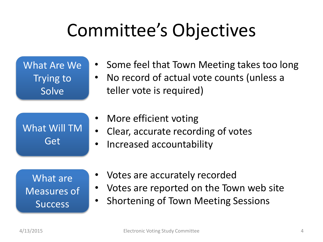# Committee's Objectives

| What Are We<br>Trying to<br>Solve | • Some feel that Town Meeting takes too long<br>No record of actual vote counts (unless a<br>$\bullet$<br>teller vote is required) |
|-----------------------------------|------------------------------------------------------------------------------------------------------------------------------------|
| What Will TM<br>Get               | • More efficient voting<br>• Clear, accurate recording of votes<br>Increased accountability<br>$\bullet$                           |

What are Measures of **Success** 

- Votes are accurately recorded
- Votes are reported on the Town web site
- Shortening of Town Meeting Sessions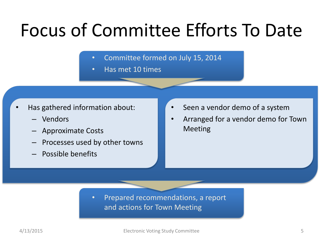## Focus of Committee Efforts To Date

- Committee formed on July 15, 2014
- Has met 10 times

- Has gathered information about:
	- Vendors
	- Approximate Costs
	- Processes used by other towns
	- Possible benefits
- Seen a vendor demo of a system
- Arranged for a vendor demo for Town Meeting

• Prepared recommendations, a report and actions for Town Meeting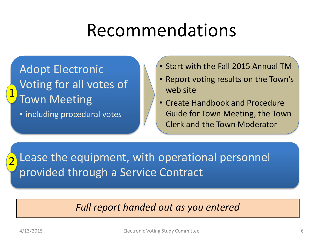### Recommendations

Adopt Electronic Voting for all votes of Town Meeting 1

• including procedural votes

- Start with the Fall 2015 Annual TM
- Report voting results on the Town's web site
- Create Handbook and Procedure Guide for Town Meeting, the Town Clerk and the Town Moderator

Lease the equipment, with operational personnel provided through a Service Contract 2

#### *Full report handed out as you entered*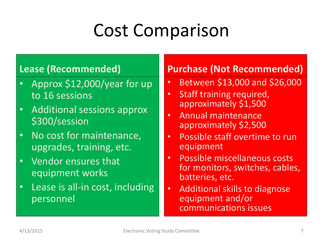# Cost Comparison

#### **Lease (Recommended)**

- Approx \$12,000/year for up to 16 sessions
- Additional sessions approx \$300/session
- No cost for maintenance, upgrades, training, etc.
- Vendor ensures that equipment works
- Lease is all-in cost, including personnel

#### **Purchase (Not Recommended)**

- Between \$13,000 and \$26,000
- Staff training required, approximately \$1,500
- Annual maintenance approximately \$2,500
- Possible staff overtime to run equipment
- Possible miscellaneous costs for monitors, switches, cables, batteries, etc.
- Additional skills to diagnose equipment and/or communications issues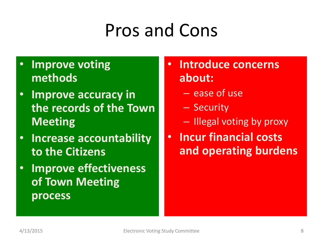# Pros and Cons

### • **Improve voting methods**

- **Improve accuracy in the records of the Town Meeting**
- **Increase accountability to the Citizens**
- **Improve effectiveness of Town Meeting process**

### • **Introduce concerns about:**

- ease of use
- Security
- Illegal voting by proxy
- **Incur financial costs and operating burdens**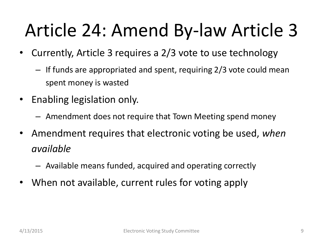# Article 24: Amend By-law Article 3

- Currently, Article 3 requires a 2/3 vote to use technology
	- If funds are appropriated and spent, requiring 2/3 vote could mean spent money is wasted
- Enabling legislation only.
	- Amendment does not require that Town Meeting spend money
- Amendment requires that electronic voting be used, *when available*
	- Available means funded, acquired and operating correctly
- When not available, current rules for voting apply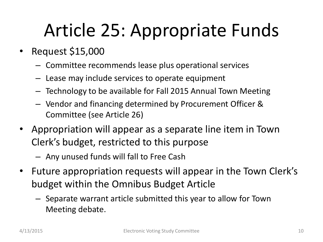# Article 25: Appropriate Funds

- Request \$15,000
	- Committee recommends lease plus operational services
	- Lease may include services to operate equipment
	- Technology to be available for Fall 2015 Annual Town Meeting
	- Vendor and financing determined by Procurement Officer & Committee (see Article 26)
- Appropriation will appear as a separate line item in Town Clerk's budget, restricted to this purpose
	- Any unused funds will fall to Free Cash
- Future appropriation requests will appear in the Town Clerk's budget within the Omnibus Budget Article
	- Separate warrant article submitted this year to allow for Town Meeting debate.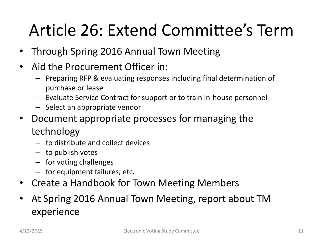### Article 26: Extend Committee's Term

- Through Spring 2016 Annual Town Meeting
- Aid the Procurement Officer in:
	- Preparing RFP & evaluating responses including final determination of purchase or lease
	- Evaluate Service Contract for support or to train in-house personnel
	- Select an appropriate vendor
- Document appropriate processes for managing the technology
	- to distribute and collect devices
	- to publish votes
	- for voting challenges
	- for equipment failures, etc.
- Create a Handbook for Town Meeting Members
- At Spring 2016 Annual Town Meeting, report about TM experience